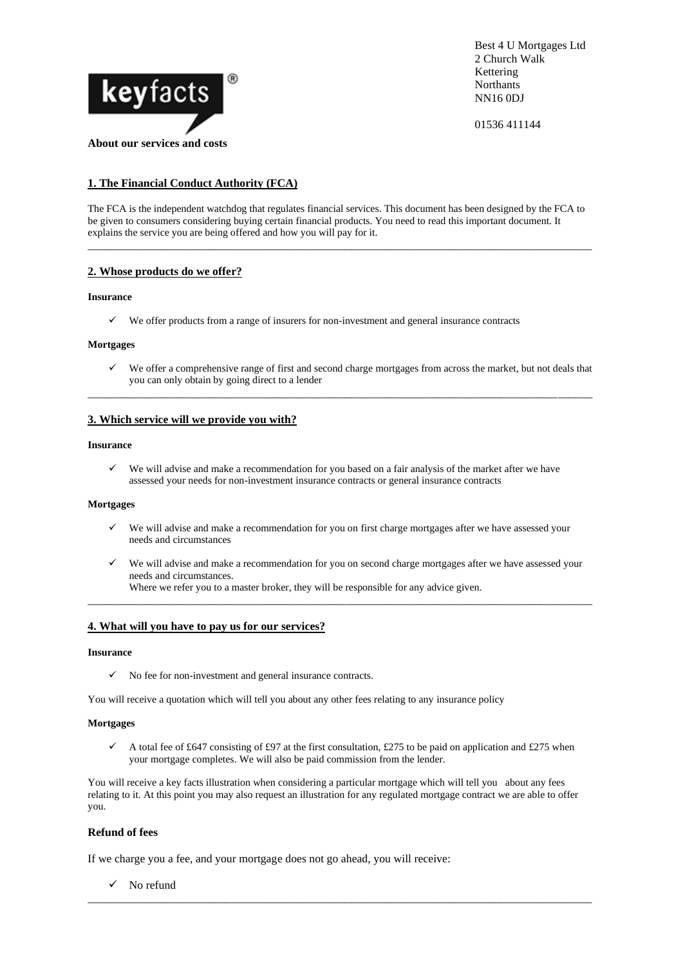

Best 4 U Mortgages Ltd 2 Church Walk Kettering **Northants** NN16 0DJ

01536 411144

# **1. The Financial Conduct Authority (FCA)**

The FCA is the independent watchdog that regulates financial services. This document has been designed by the FCA to be given to consumers considering buying certain financial products. You need to read this important document. It explains the service you are being offered and how you will pay for it.

\_\_\_\_\_\_\_\_\_\_\_\_\_\_\_\_\_\_\_\_\_\_\_\_\_\_\_\_\_\_\_\_\_\_\_\_\_\_\_\_\_\_\_\_\_\_\_\_\_\_\_\_\_\_\_\_\_\_\_\_\_\_\_\_\_\_\_\_\_\_\_\_\_\_\_\_\_\_\_\_\_\_\_\_\_\_\_\_

# **2. Whose products do we offer?**

## **Insurance**

 $\checkmark$  We offer products from a range of insurers for non-investment and general insurance contracts

# **Mortgages**

✓ We offer a comprehensive range of first and second charge mortgages from across the market, but not deals that you can only obtain by going direct to a lender

\_\_\_\_\_\_\_\_\_\_\_\_\_\_\_\_\_\_\_\_\_\_\_\_\_\_\_\_\_\_\_\_\_\_\_\_\_\_\_\_\_\_\_\_\_\_\_\_\_\_\_\_\_\_\_\_\_\_\_\_\_\_\_\_\_\_\_\_\_\_\_\_\_\_\_\_\_\_\_\_\_\_\_\_\_\_\_\_

# **3. Which service will we provide you with?**

### **Insurance**

✓ We will advise and make a recommendation for you based on a fair analysis of the market after we have assessed your needs for non-investment insurance contracts or general insurance contracts

#### **Mortgages**

- We will advise and make a recommendation for you on first charge mortgages after we have assessed your needs and circumstances
- We will advise and make a recommendation for you on second charge mortgages after we have assessed your needs and circumstances. Where we refer you to a master broker, they will be responsible for any advice given.

\_\_\_\_\_\_\_\_\_\_\_\_\_\_\_\_\_\_\_\_\_\_\_\_\_\_\_\_\_\_\_\_\_\_\_\_\_\_\_\_\_\_\_\_\_\_\_\_\_\_\_\_\_\_\_\_\_\_\_\_\_\_\_\_\_\_\_\_\_\_\_\_\_\_\_\_\_\_\_\_\_\_\_\_\_\_\_\_

### **4. What will you have to pay us for our services?**

#### **Insurance**

 $\checkmark$  No fee for non-investment and general insurance contracts.

You will receive a quotation which will tell you about any other fees relating to any insurance policy

#### **Mortgages**

 $\checkmark$  A total fee of £647 consisting of £97 at the first consultation, £275 to be paid on application and £275 when your mortgage completes. We will also be paid commission from the lender.

You will receive a key facts illustration when considering a particular mortgage which will tell you about any fees relating to it. At this point you may also request an illustration for any regulated mortgage contract we are able to offer you.

\_\_\_\_\_\_\_\_\_\_\_\_\_\_\_\_\_\_\_\_\_\_\_\_\_\_\_\_\_\_\_\_\_\_\_\_\_\_\_\_\_\_\_\_\_\_\_\_\_\_\_\_\_\_\_\_\_\_\_\_\_\_\_\_\_\_\_\_\_\_\_\_\_\_\_\_\_\_\_\_\_\_\_\_\_\_\_\_

### **Refund of fees**

If we charge you a fee, and your mortgage does not go ahead, you will receive:

✓ No refund